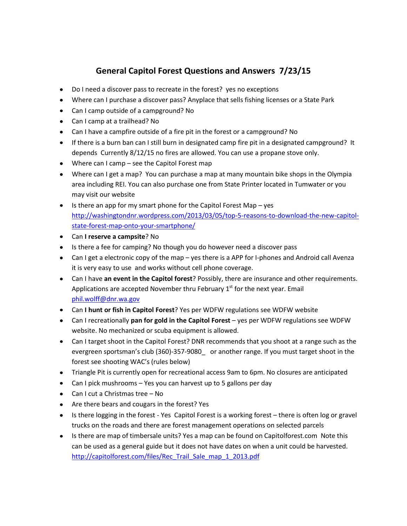# **General Capitol Forest Questions and Answers 7/23/15**

- Do I need a discover pass to recreate in the forest? yes no exceptions
- Where can I purchase a discover pass? Anyplace that sells fishing licenses or a State Park
- Can I camp outside of a campground? No
- Can I camp at a trailhead? No
- Can I have a campfire outside of a fire pit in the forest or a campground? No
- If there is a burn ban can I still burn in designated camp fire pit in a designated campground? It depends Currently 8/12/15 no fires are allowed. You can use a propane stove only.
- Where can I camp see the Capitol Forest map
- Where can I get a map? You can purchase a map at many mountain bike shops in the Olympia area including REI. You can also purchase one from State Printer located in Tumwater or you may visit our website
- $\bullet$  Is there an app for my smart phone for the Capitol Forest Map yes [http://washingtondnr.wordpress.com/2013/03/05/top-5-reasons-to-download-the-new-capitol](http://washingtondnr.wordpress.com/2013/03/05/top-5-reasons-to-download-the-new-capitol-state-forest-map-onto-your-smartphone/)[state-forest-map-onto-your-smartphone/](http://washingtondnr.wordpress.com/2013/03/05/top-5-reasons-to-download-the-new-capitol-state-forest-map-onto-your-smartphone/)
- Can **I reserve a campsite**? No
- Is there a fee for camping? No though you do however need a discover pass
- Can I get a electronic copy of the map yes there is a APP for I-phones and Android call Avenza it is very easy to use and works without cell phone coverage.
- Can I have **an event in the Capitol forest**? Possibly, there are insurance and other requirements. Applications are accepted November thru February  $1<sup>st</sup>$  for the next year. Email [phil.wolff@dnr.wa.gov](mailto:phil.wolff@dnr.wa.gov)
- Can **I hunt or fish in Capitol Forest**? Yes per WDFW regulations see WDFW website
- Can I recreationally **pan for gold in the Capitol Forest** yes per WDFW regulations see WDFW website. No mechanized or scuba equipment is allowed.
- Can I target shoot in the Capitol Forest? DNR recommends that you shoot at a range such as the evergreen sportsman's club (360)-357-9080\_ or another range. If you must target shoot in the forest see shooting WAC's (rules below)
- Triangle Pit is currently open for recreational access 9am to 6pm. No closures are anticipated
- Can I pick mushrooms Yes you can harvest up to 5 gallons per day
- Can I cut a Christmas tree No
- Are there bears and cougars in the forest? Yes
- Is there logging in the forest Yes Capitol Forest is a working forest there is often log or gravel trucks on the roads and there are forest management operations on selected parcels
- Is there are map of timbersale units? Yes a map can be found on Capitolforest.com Note this can be used as a general guide but it does not have dates on when a unit could be harvested. [http://capitolforest.com/files/Rec\\_Trail\\_Sale\\_map\\_1\\_2013.pdf](http://capitolforest.com/files/Rec_Trail_Sale_map_1_2013.pdf)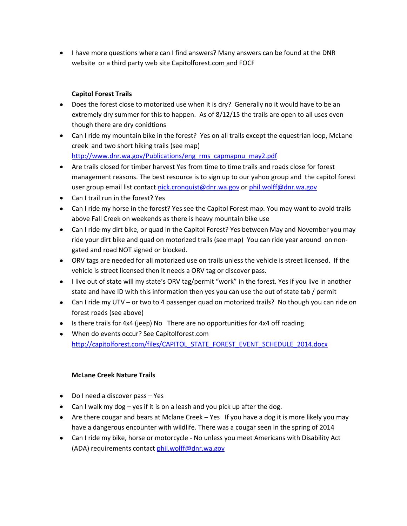• I have more questions where can I find answers? Many answers can be found at the DNR website or a third party web site Capitolforest.com and FOCF

## **Capitol Forest Trails**

- Does the forest close to motorized use when it is dry? Generally no it would have to be an extremely dry summer for this to happen. As of 8/12/15 the trails are open to all uses even though there are dry conidtions
- Can I ride my mountain bike in the forest? Yes on all trails except the equestrian loop, McLane creek and two short hiking trails (see map) [http://www.dnr.wa.gov/Publications/eng\\_rms\\_capmapnu\\_may2.pdf](http://www.dnr.wa.gov/Publications/eng_rms_capmapnu_may2.pdf)
- Are trails closed for timber harvest Yes from time to time trails and roads close for forest management reasons. The best resource is to sign up to our yahoo group and the capitol forest user group email list contact [nick.cronquist@dnr.wa.gov](mailto:nick.cronquist@dnr.wa.gov) o[r phil.wolff@dnr.wa.gov](mailto:phil.wolff@dnr.wa.gov)
- Can I trail run in the forest? Yes
- Can I ride my horse in the forest? Yes see the Capitol Forest map. You may want to avoid trails above Fall Creek on weekends as there is heavy mountain bike use
- Can I ride my dirt bike, or quad in the Capitol Forest? Yes between May and November you may ride your dirt bike and quad on motorized trails (see map) You can ride year around on nongated and road NOT signed or blocked.
- ORV tags are needed for all motorized use on trails unless the vehicle is street licensed. If the vehicle is street licensed then it needs a ORV tag or discover pass.
- I live out of state will my state's ORV tag/permit "work" in the forest. Yes if you live in another state and have ID with this information then yes you can use the out of state tab / permit
- Can I ride my UTV or two to 4 passenger quad on motorized trails? No though you can ride on forest roads (see above)
- Is there trails for 4x4 (jeep) No There are no opportunities for 4x4 off roading
- When do events occur? See Capitolforest.com [http://capitolforest.com/files/CAPITOL\\_STATE\\_FOREST\\_EVENT\\_SCHEDULE\\_2014.docx](http://capitolforest.com/files/CAPITOL_STATE_FOREST_EVENT_SCHEDULE_2014.docx)

### **McLane Creek Nature Trails**

- Do I need a discover pass Yes
- Can I walk my dog yes if it is on a leash and you pick up after the dog.
- Are there cougar and bears at Mclane Creek Yes If you have a dog it is more likely you may have a dangerous encounter with wildlife. There was a cougar seen in the spring of 2014
- Can I ride my bike, horse or motorcycle No unless you meet Americans with Disability Act (ADA) requirements contact [phil.wolff@dnr.wa.gov](mailto:phil.wolff@dnr.wa.gov)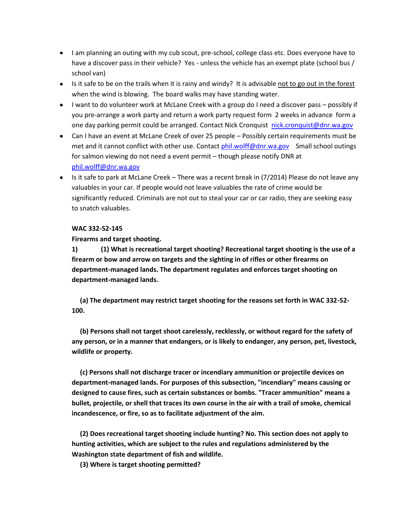- I am planning an outing with my cub scout, pre-school, college class etc. Does everyone have to have a discover pass in their vehicle? Yes - unless the vehicle has an exempt plate (school bus / school van)
- Is it safe to be on the trails when it is rainy and windy? It is advisable not to go out in the forest when the wind is blowing. The board walks may have standing water.
- I want to do volunteer work at McLane Creek with a group do I need a discover pass possibly if you pre-arrange a work party and return a work party request form 2 weeks in advance form a one day parking permit could be arranged. Contact Nick Cronquist [nick.cronquist@dnr.wa.gov](mailto:nick.cronquist@dnr.wa.gov)
- Can I have an event at McLane Creek of over 25 people Possibly certain requirements must be met and it cannot conflict with other use. Contact [phil.wolff@dnr.wa.gov](mailto:phil.wolff@dnr.wa.gov) Small school outings for salmon viewing do not need a event permit – though please notify DNR at [phil.wolff@dnr.wa.gov](mailto:phil.wolff@dnr.wa.gov)
- Is it safe to park at McLane Creek There was a recent break in (7/2014) Please do not leave any valuables in your car. If people would not leave valuables the rate of crime would be significantly reduced. Criminals are not out to steal your car or car radio, they are seeking easy to snatch valuables.

#### **WAC 332-52-145**

#### **Firearms and target shooting.**

**1) (1) What is recreational target shooting? Recreational target shooting is the use of a firearm or bow and arrow on targets and the sighting in of rifles or other firearms on department-managed lands. The department regulates and enforces target shooting on department-managed lands.**

 **(a) The department may restrict target shooting for the reasons set forth in WAC 332-52- 100.**

 **(b) Persons shall not target shoot carelessly, recklessly, or without regard for the safety of any person, or in a manner that endangers, or is likely to endanger, any person, pet, livestock, wildlife or property.**

 **(c) Persons shall not discharge tracer or incendiary ammunition or projectile devices on department-managed lands. For purposes of this subsection, "incendiary" means causing or designed to cause fires, such as certain substances or bombs. "Tracer ammunition" means a bullet, projectile, or shell that traces its own course in the air with a trail of smoke, chemical incandescence, or fire, so as to facilitate adjustment of the aim.**

 **(2) Does recreational target shooting include hunting? No. This section does not apply to hunting activities, which are subject to the rules and regulations administered by the Washington state department of fish and wildlife.**

 **(3) Where is target shooting permitted?**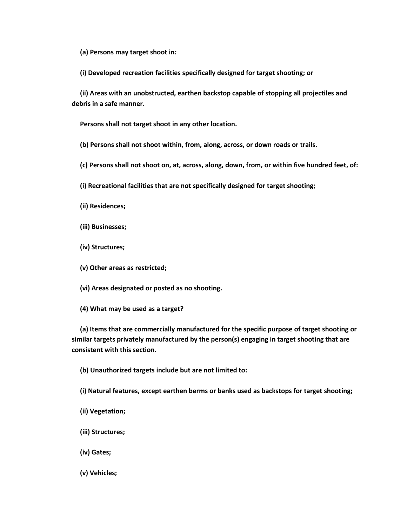**(a) Persons may target shoot in:**

 **(i) Developed recreation facilities specifically designed for target shooting; or**

 **(ii) Areas with an unobstructed, earthen backstop capable of stopping all projectiles and debris in a safe manner.**

 **Persons shall not target shoot in any other location.**

 **(b) Persons shall not shoot within, from, along, across, or down roads or trails.**

 **(c) Persons shall not shoot on, at, across, along, down, from, or within five hundred feet, of:**

 **(i) Recreational facilities that are not specifically designed for target shooting;**

 **(ii) Residences;**

 **(iii) Businesses;**

 **(iv) Structures;**

 **(v) Other areas as restricted;**

 **(vi) Areas designated or posted as no shooting.**

 **(4) What may be used as a target?**

 **(a) Items that are commercially manufactured for the specific purpose of target shooting or similar targets privately manufactured by the person(s) engaging in target shooting that are consistent with this section.**

 **(b) Unauthorized targets include but are not limited to:**

 **(i) Natural features, except earthen berms or banks used as backstops for target shooting;**

- **(ii) Vegetation;**
- **(iii) Structures;**
- **(iv) Gates;**
- **(v) Vehicles;**